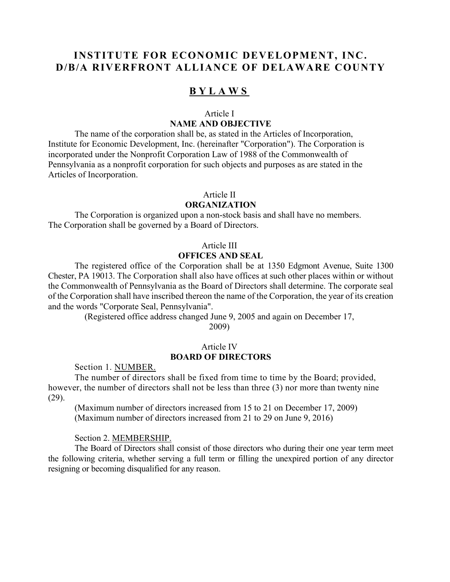# **INSTITUTE FOR ECONOMIC DEVELOPMENT, INC. D/B/A RIVERFRONT ALLIANCE OF DELAWARE COUNTY**

# **BYLAWS**

# Article I **NAME AND OBJECTIVE**

The name of the corporation shall be, as stated in the Articles of Incorporation, Institute for Economic Development, Inc. (hereinafter "Corporation"). The Corporation is incorporated under the Nonprofit Corporation Law of 1988 of the Commonwealth of Pennsylvania as a nonprofit corporation for such objects and purposes as are stated in the Articles of Incorporation.

#### Article II

#### **ORGANIZATION**

The Corporation is organized upon a non-stock basis and shall have no members. The Corporation shall be governed by a Board of Directors.

#### Article III

# **OFFICES AND SEAL**

 The registered office of the Corporation shall be at 1350 Edgmont Avenue, Suite 1300 Chester, PA 19013. The Corporation shall also have offices at such other places within or without the Commonwealth of Pennsylvania as the Board of Directors shall determine. The corporate seal of the Corporation shall have inscribed thereon the name of the Corporation, the year of its creation and the words "Corporate Seal, Pennsylvania".

> (Registered office address changed June 9, 2005 and again on December 17, 2009)

#### Article IV **BOARD OF DIRECTORS**

Section 1. NUMBER.

The number of directors shall be fixed from time to time by the Board; provided, however, the number of directors shall not be less than three (3) nor more than twenty nine (29).

(Maximum number of directors increased from 15 to 21 on December 17, 2009) (Maximum number of directors increased from 21 to 29 on June 9, 2016)

#### Section 2. MEMBERSHIP.

 The Board of Directors shall consist of those directors who during their one year term meet the following criteria, whether serving a full term or filling the unexpired portion of any director resigning or becoming disqualified for any reason.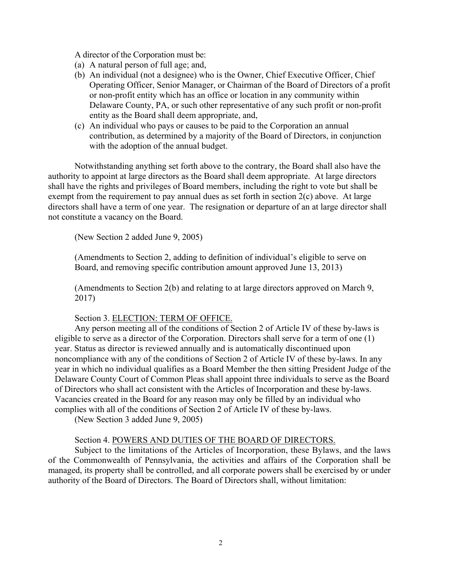A director of the Corporation must be:

- (a) A natural person of full age; and,
- (b) An individual (not a designee) who is the Owner, Chief Executive Officer, Chief Operating Officer, Senior Manager, or Chairman of the Board of Directors of a profit or non-profit entity which has an office or location in any community within Delaware County, PA, or such other representative of any such profit or non-profit entity as the Board shall deem appropriate, and,
- (c) An individual who pays or causes to be paid to the Corporation an annual contribution, as determined by a majority of the Board of Directors, in conjunction with the adoption of the annual budget.

Notwithstanding anything set forth above to the contrary, the Board shall also have the authority to appoint at large directors as the Board shall deem appropriate. At large directors shall have the rights and privileges of Board members, including the right to vote but shall be exempt from the requirement to pay annual dues as set forth in section  $2(c)$  above. At large directors shall have a term of one year. The resignation or departure of an at large director shall not constitute a vacancy on the Board.

(New Section 2 added June 9, 2005)

(Amendments to Section 2, adding to definition of individual's eligible to serve on Board, and removing specific contribution amount approved June 13, 2013)

(Amendments to Section 2(b) and relating to at large directors approved on March 9, 2017)

#### Section 3. ELECTION: TERM OF OFFICE.

Any person meeting all of the conditions of Section 2 of Article IV of these by-laws is eligible to serve as a director of the Corporation. Directors shall serve for a term of one (1) year. Status as director is reviewed annually and is automatically discontinued upon noncompliance with any of the conditions of Section 2 of Article IV of these by-laws. In any year in which no individual qualifies as a Board Member the then sitting President Judge of the Delaware County Court of Common Pleas shall appoint three individuals to serve as the Board of Directors who shall act consistent with the Articles of Incorporation and these by-laws. Vacancies created in the Board for any reason may only be filled by an individual who complies with all of the conditions of Section 2 of Article IV of these by-laws.

(New Section 3 added June 9, 2005)

#### Section 4. POWERS AND DUTIES OF THE BOARD OF DIRECTORS.

Subject to the limitations of the Articles of Incorporation, these Bylaws, and the laws of the Commonwealth of Pennsylvania, the activities and affairs of the Corporation shall be managed, its property shall be controlled, and all corporate powers shall be exercised by or under authority of the Board of Directors. The Board of Directors shall, without limitation: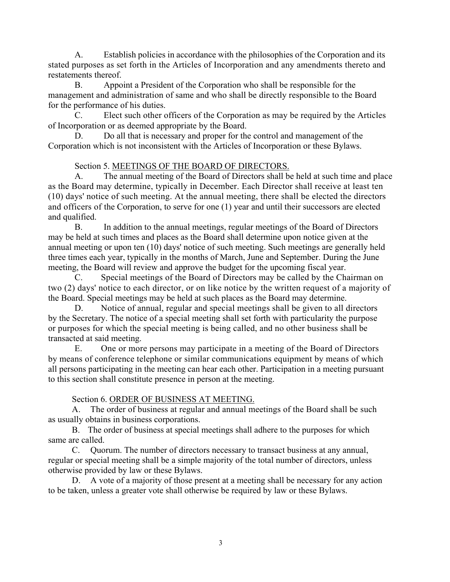A. Establish policies in accordance with the philosophies of the Corporation and its stated purposes as set forth in the Articles of Incorporation and any amendments thereto and restatements thereof.

B. Appoint a President of the Corporation who shall be responsible for the management and administration of same and who shall be directly responsible to the Board for the performance of his duties.

C. Elect such other officers of the Corporation as may be required by the Articles of Incorporation or as deemed appropriate by the Board.

D. Do all that is necessary and proper for the control and management of the Corporation which is not inconsistent with the Articles of Incorporation or these Bylaws.

# Section 5. MEETINGS OF THE BOARD OF DIRECTORS.

A. The annual meeting of the Board of Directors shall be held at such time and place as the Board may determine, typically in December. Each Director shall receive at least ten (10) days' notice of such meeting. At the annual meeting, there shall be elected the directors and officers of the Corporation, to serve for one (1) year and until their successors are elected and qualified.

B. In addition to the annual meetings, regular meetings of the Board of Directors may be held at such times and places as the Board shall determine upon notice given at the annual meeting or upon ten (10) days' notice of such meeting. Such meetings are generally held three times each year, typically in the months of March, June and September. During the June meeting, the Board will review and approve the budget for the upcoming fiscal year.

C. Special meetings of the Board of Directors may be called by the Chairman on two (2) days' notice to each director, or on like notice by the written request of a majority of the Board. Special meetings may be held at such places as the Board may determine.

D. Notice of annual, regular and special meetings shall be given to all directors by the Secretary. The notice of a special meeting shall set forth with particularity the purpose or purposes for which the special meeting is being called, and no other business shall be transacted at said meeting.

E. One or more persons may participate in a meeting of the Board of Directors by means of conference telephone or similar communications equipment by means of which all persons participating in the meeting can hear each other. Participation in a meeting pursuant to this section shall constitute presence in person at the meeting.

# Section 6. ORDER OF BUSINESS AT MEETING.

A. The order of business at regular and annual meetings of the Board shall be such as usually obtains in business corporations.

B. The order of business at special meetings shall adhere to the purposes for which same are called.

C. Quorum. The number of directors necessary to transact business at any annual, regular or special meeting shall be a simple majority of the total number of directors, unless otherwise provided by law or these Bylaws.

D. A vote of a majority of those present at a meeting shall be necessary for any action to be taken, unless a greater vote shall otherwise be required by law or these Bylaws.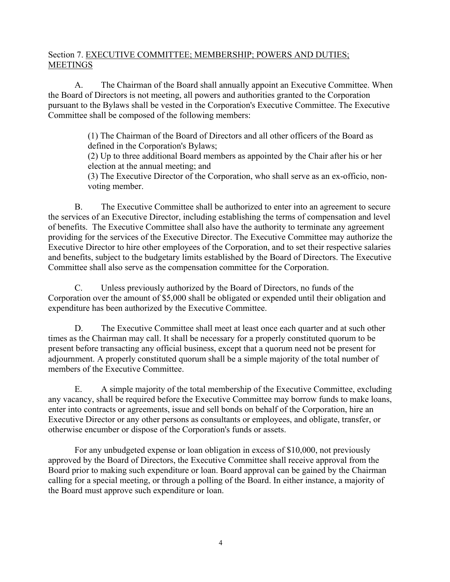# Section 7. EXECUTIVE COMMITTEE; MEMBERSHIP; POWERS AND DUTIES; MEETINGS

A. The Chairman of the Board shall annually appoint an Executive Committee. When the Board of Directors is not meeting, all powers and authorities granted to the Corporation pursuant to the Bylaws shall be vested in the Corporation's Executive Committee. The Executive Committee shall be composed of the following members:

> (1) The Chairman of the Board of Directors and all other officers of the Board as defined in the Corporation's Bylaws;

(2) Up to three additional Board members as appointed by the Chair after his or her election at the annual meeting; and

(3) The Executive Director of the Corporation, who shall serve as an ex-officio, nonvoting member.

B. The Executive Committee shall be authorized to enter into an agreement to secure the services of an Executive Director, including establishing the terms of compensation and level of benefits. The Executive Committee shall also have the authority to terminate any agreement providing for the services of the Executive Director. The Executive Committee may authorize the Executive Director to hire other employees of the Corporation, and to set their respective salaries and benefits, subject to the budgetary limits established by the Board of Directors. The Executive Committee shall also serve as the compensation committee for the Corporation.

C. Unless previously authorized by the Board of Directors, no funds of the Corporation over the amount of \$5,000 shall be obligated or expended until their obligation and expenditure has been authorized by the Executive Committee.

D. The Executive Committee shall meet at least once each quarter and at such other times as the Chairman may call. It shall be necessary for a properly constituted quorum to be present before transacting any official business, except that a quorum need not be present for adjournment. A properly constituted quorum shall be a simple majority of the total number of members of the Executive Committee.

E. A simple majority of the total membership of the Executive Committee, excluding any vacancy, shall be required before the Executive Committee may borrow funds to make loans, enter into contracts or agreements, issue and sell bonds on behalf of the Corporation, hire an Executive Director or any other persons as consultants or employees, and obligate, transfer, or otherwise encumber or dispose of the Corporation's funds or assets.

For any unbudgeted expense or loan obligation in excess of \$10,000, not previously approved by the Board of Directors, the Executive Committee shall receive approval from the Board prior to making such expenditure or loan. Board approval can be gained by the Chairman calling for a special meeting, or through a polling of the Board. In either instance, a majority of the Board must approve such expenditure or loan.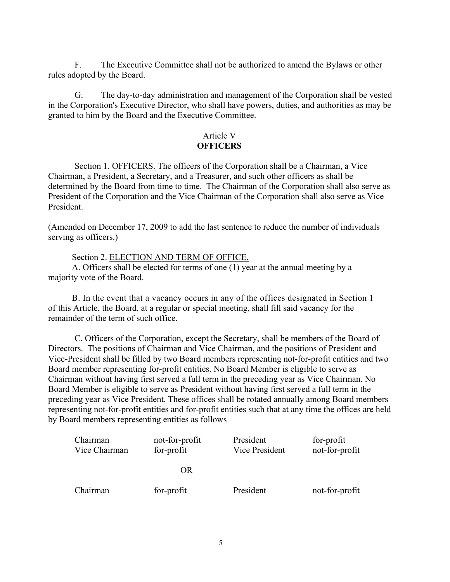F. The Executive Committee shall not be authorized to amend the Bylaws or other rules adopted by the Board.

G. The day-to-day administration and management of the Corporation shall be vested in the Corporation's Executive Director, who shall have powers, duties, and authorities as may be granted to him by the Board and the Executive Committee.

# Article V **OFFICERS**

Section 1. OFFICERS. The officers of the Corporation shall be a Chairman, a Vice Chairman, a President, a Secretary, and a Treasurer, and such other officers as shall be determined by the Board from time to time. The Chairman of the Corporation shall also serve as President of the Corporation and the Vice Chairman of the Corporation shall also serve as Vice President.

(Amended on December 17, 2009 to add the last sentence to reduce the number of individuals serving as officers.)

Section 2. ELECTION AND TERM OF OFFICE.

A. Officers shall be elected for terms of one (1) year at the annual meeting by a majority vote of the Board.

B. In the event that a vacancy occurs in any of the offices designated in Section 1 of this Article, the Board, at a regular or special meeting, shall fill said vacancy for the remainder of the term of such office.

 C. Officers of the Corporation, except the Secretary, shall be members of the Board of Directors. The positions of Chairman and Vice Chairman, and the positions of President and Vice-President shall be filled by two Board members representing not-for-profit entities and two Board member representing for-profit entities. No Board Member is eligible to serve as Chairman without having first served a full term in the preceding year as Vice Chairman. No Board Member is eligible to serve as President without having first served a full term in the preceding year as Vice President. These offices shall be rotated annually among Board members representing not-for-profit entities and for-profit entities such that at any time the offices are held by Board members representing entities as follows

| Chairman<br>Vice Chairman | not-for-profit<br>for-profit | President<br>Vice President | for-profit<br>not-for-profit |
|---------------------------|------------------------------|-----------------------------|------------------------------|
|                           | OR                           |                             |                              |
| Chairman                  | for-profit                   | President                   | not-for-profit               |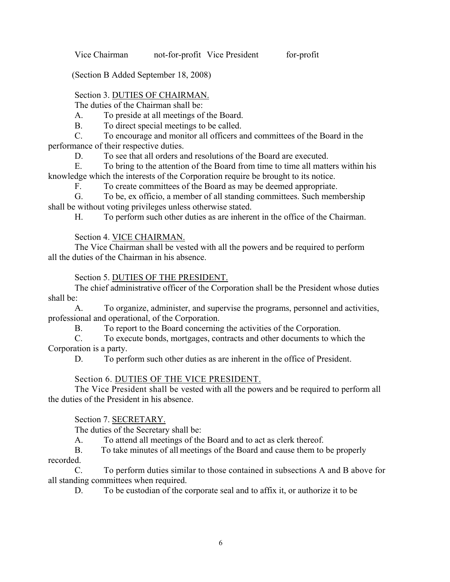Vice Chairman not-for-profit Vice President for-profit

(Section B Added September 18, 2008)

# Section 3. DUTIES OF CHAIRMAN.

The duties of the Chairman shall be:

A. To preside at all meetings of the Board.

B. To direct special meetings to be called.

C. To encourage and monitor all officers and committees of the Board in the performance of their respective duties.

D. To see that all orders and resolutions of the Board are executed.

E. To bring to the attention of the Board from time to time all matters within his knowledge which the interests of the Corporation require be brought to its notice.

F. To create committees of the Board as may be deemed appropriate.

G. To be, ex officio, a member of all standing committees. Such membership shall be without voting privileges unless otherwise stated.

H. To perform such other duties as are inherent in the office of the Chairman.

# Section 4. VICE CHAIRMAN.

The Vice Chairman shall be vested with all the powers and be required to perform all the duties of the Chairman in his absence.

# Section 5. DUTIES OF THE PRESIDENT.

The chief administrative officer of the Corporation shall be the President whose duties shall be:

A. To organize, administer, and supervise the programs, personnel and activities, professional and operational, of the Corporation.

B. To report to the Board concerning the activities of the Corporation.

C. To execute bonds, mortgages, contracts and other documents to which the

Corporation is a party.

D. To perform such other duties as are inherent in the office of President.

# Section 6. DUTIES OF THE VICE PRESIDENT.

The Vice President shall be vested with all the powers and be required to perform all the duties of the President in his absence.

Section 7. SECRETARY.

The duties of the Secretary shall be:

A. To attend all meetings of the Board and to act as clerk thereof.

B. To take minutes of all meetings of the Board and cause them to be properly recorded.

C. To perform duties similar to those contained in subsections A and B above for all standing committees when required.

D. To be custodian of the corporate seal and to affix it, or authorize it to be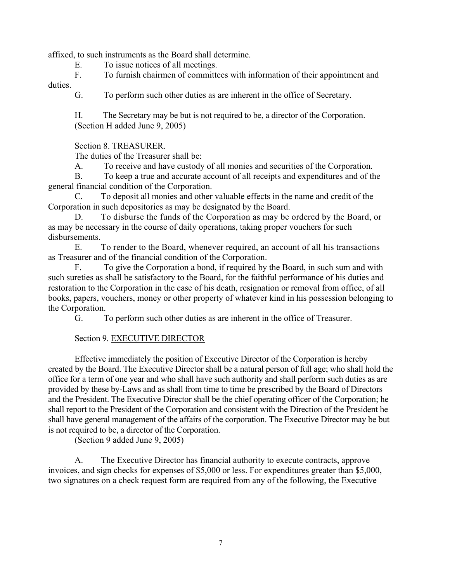affixed, to such instruments as the Board shall determine.

E. To issue notices of all meetings.

F. To furnish chairmen of committees with information of their appointment and duties.

G. To perform such other duties as are inherent in the office of Secretary.

 H. The Secretary may be but is not required to be, a director of the Corporation. (Section H added June 9, 2005)

Section 8. TREASURER.

The duties of the Treasurer shall be:

A. To receive and have custody of all monies and securities of the Corporation.

B. To keep a true and accurate account of all receipts and expenditures and of the general financial condition of the Corporation.

C. To deposit all monies and other valuable effects in the name and credit of the Corporation in such depositories as may be designated by the Board.

D. To disburse the funds of the Corporation as may be ordered by the Board, or as may be necessary in the course of daily operations, taking proper vouchers for such disbursements.

E. To render to the Board, whenever required, an account of all his transactions as Treasurer and of the financial condition of the Corporation.

F. To give the Corporation a bond, if required by the Board, in such sum and with such sureties as shall be satisfactory to the Board, for the faithful performance of his duties and restoration to the Corporation in the case of his death, resignation or removal from office, of all books, papers, vouchers, money or other property of whatever kind in his possession belonging to the Corporation.

G. To perform such other duties as are inherent in the office of Treasurer.

# Section 9. EXECUTIVE DIRECTOR

 Effective immediately the position of Executive Director of the Corporation is hereby created by the Board. The Executive Director shall be a natural person of full age; who shall hold the office for a term of one year and who shall have such authority and shall perform such duties as are provided by these by-Laws and as shall from time to time be prescribed by the Board of Directors and the President. The Executive Director shall be the chief operating officer of the Corporation; he shall report to the President of the Corporation and consistent with the Direction of the President he shall have general management of the affairs of the corporation. The Executive Director may be but is not required to be, a director of the Corporation.

(Section 9 added June 9, 2005)

A. The Executive Director has financial authority to execute contracts, approve invoices, and sign checks for expenses of \$5,000 or less. For expenditures greater than \$5,000, two signatures on a check request form are required from any of the following, the Executive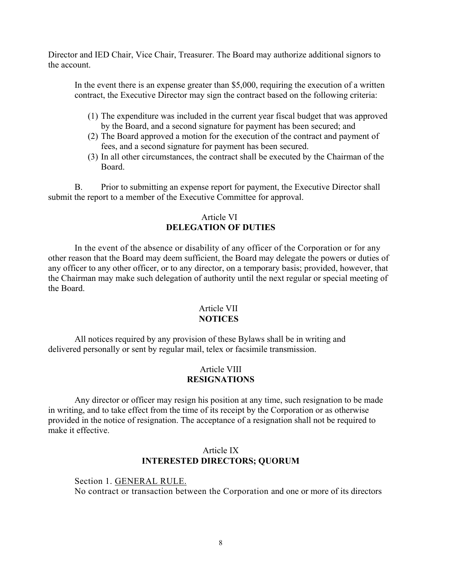Director and IED Chair, Vice Chair, Treasurer. The Board may authorize additional signors to the account.

In the event there is an expense greater than \$5,000, requiring the execution of a written contract, the Executive Director may sign the contract based on the following criteria:

- (1) The expenditure was included in the current year fiscal budget that was approved by the Board, and a second signature for payment has been secured; and
- (2) The Board approved a motion for the execution of the contract and payment of fees, and a second signature for payment has been secured.
- (3) In all other circumstances, the contract shall be executed by the Chairman of the Board.

B. Prior to submitting an expense report for payment, the Executive Director shall submit the report to a member of the Executive Committee for approval.

## Article VI **DELEGATION OF DUTIES**

In the event of the absence or disability of any officer of the Corporation or for any other reason that the Board may deem sufficient, the Board may delegate the powers or duties of any officer to any other officer, or to any director, on a temporary basis; provided, however, that the Chairman may make such delegation of authority until the next regular or special meeting of the Board.

# Article VII **NOTICES**

All notices required by any provision of these Bylaws shall be in writing and delivered personally or sent by regular mail, telex or facsimile transmission.

# Article VIII **RESIGNATIONS**

Any director or officer may resign his position at any time, such resignation to be made in writing, and to take effect from the time of its receipt by the Corporation or as otherwise provided in the notice of resignation. The acceptance of a resignation shall not be required to make it effective.

# Article IX **INTERESTED DIRECTORS; QUORUM**

Section 1. GENERAL RULE. No contract or transaction between the Corporation and one or more of its directors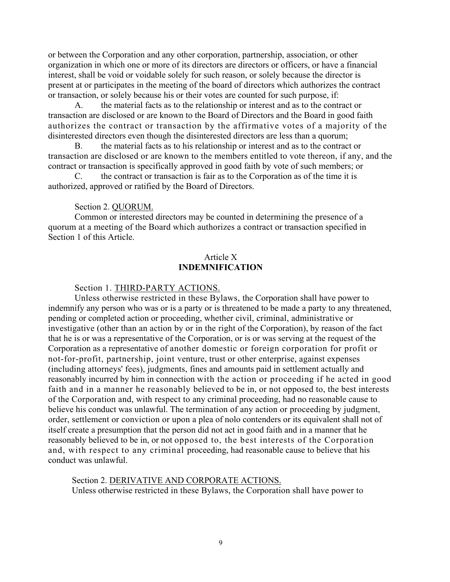or between the Corporation and any other corporation, partnership, association, or other organization in which one or more of its directors are directors or officers, or have a financial interest, shall be void or voidable solely for such reason, or solely because the director is present at or participates in the meeting of the board of directors which authorizes the contract or transaction, or solely because his or their votes are counted for such purpose, if:

A. the material facts as to the relationship or interest and as to the contract or transaction are disclosed or are known to the Board of Directors and the Board in good faith authorizes the contract or transaction by the affirmative votes of a majority of the disinterested directors even though the disinterested directors are less than a quorum;

B. the material facts as to his relationship or interest and as to the contract or transaction are disclosed or are known to the members entitled to vote thereon, if any, and the contract or transaction is specifically approved in good faith by vote of such members; or

C. the contract or transaction is fair as to the Corporation as of the time it is authorized, approved or ratified by the Board of Directors.

#### Section 2. QUORUM.

Common or interested directors may be counted in determining the presence of a quorum at a meeting of the Board which authorizes a contract or transaction specified in Section 1 of this Article.

## Article X **INDEMNIFICATION**

#### Section 1. THIRD-PARTY ACTIONS.

Unless otherwise restricted in these Bylaws, the Corporation shall have power to indemnify any person who was or is a party or is threatened to be made a party to any threatened, pending or completed action or proceeding, whether civil, criminal, administrative or investigative (other than an action by or in the right of the Corporation), by reason of the fact that he is or was a representative of the Corporation, or is or was serving at the request of the Corporation as a representative of another domestic or foreign corporation for profit or not-for-profit, partnership, joint venture, trust or other enterprise, against expenses (including attorneys' fees), judgments, fines and amounts paid in settlement actually and reasonably incurred by him in connection with the action or proceeding if he acted in good faith and in a manner he reasonably believed to be in, or not opposed to, the best interests of the Corporation and, with respect to any criminal proceeding, had no reasonable cause to believe his conduct was unlawful. The termination of any action or proceeding by judgment, order, settlement or conviction or upon a plea of nolo contenders or its equivalent shall not of itself create a presumption that the person did not act in good faith and in a manner that he reasonably believed to be in, or not opposed to, the best interests of the Corporation and, with respect to any criminal proceeding, had reasonable cause to believe that his conduct was unlawful.

Section 2. DERIVATIVE AND CORPORATE ACTIONS. Unless otherwise restricted in these Bylaws, the Corporation shall have power to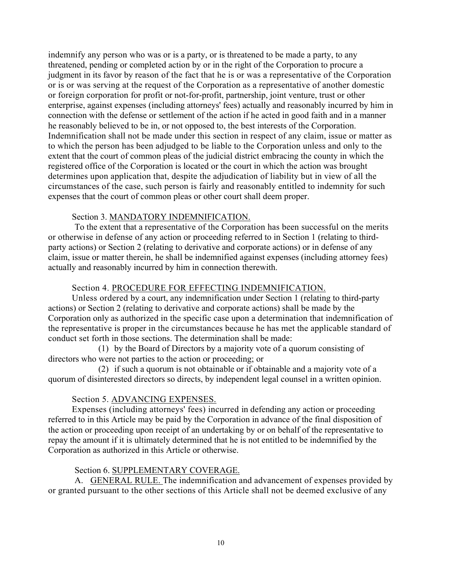indemnify any person who was or is a party, or is threatened to be made a party, to any threatened, pending or completed action by or in the right of the Corporation to procure a judgment in its favor by reason of the fact that he is or was a representative of the Corporation or is or was serving at the request of the Corporation as a representative of another domestic or foreign corporation for profit or not-for-profit, partnership, joint venture, trust or other enterprise, against expenses (including attorneys' fees) actually and reasonably incurred by him in connection with the defense or settlement of the action if he acted in good faith and in a manner he reasonably believed to be in, or not opposed to, the best interests of the Corporation. Indemnification shall not be made under this section in respect of any claim, issue or matter as to which the person has been adjudged to be liable to the Corporation unless and only to the extent that the court of common pleas of the judicial district embracing the county in which the registered office of the Corporation is located or the court in which the action was brought determines upon application that, despite the adjudication of liability but in view of all the circumstances of the case, such person is fairly and reasonably entitled to indemnity for such expenses that the court of common pleas or other court shall deem proper.

## Section 3. MANDATORY INDEMNIFICATION.

 To the extent that a representative of the Corporation has been successful on the merits or otherwise in defense of any action or proceeding referred to in Section 1 (relating to thirdparty actions) or Section 2 (relating to derivative and corporate actions) or in defense of any claim, issue or matter therein, he shall be indemnified against expenses (including attorney fees) actually and reasonably incurred by him in connection therewith.

# Section 4. PROCEDURE FOR EFFECTING INDEMNIFICATION.

Unless ordered by a court, any indemnification under Section 1 (relating to third-party actions) or Section 2 (relating to derivative and corporate actions) shall be made by the Corporation only as authorized in the specific case upon a determination that indemnification of the representative is proper in the circumstances because he has met the applicable standard of conduct set forth in those sections. The determination shall be made:

(1) by the Board of Directors by a majority vote of a quorum consisting of directors who were not parties to the action or proceeding; or

(2) if such a quorum is not obtainable or if obtainable and a majority vote of a quorum of disinterested directors so directs, by independent legal counsel in a written opinion.

## Section 5. ADVANCING EXPENSES.

Expenses (including attorneys' fees) incurred in defending any action or proceeding referred to in this Article may be paid by the Corporation in advance of the final disposition of the action or proceeding upon receipt of an undertaking by or on behalf of the representative to repay the amount if it is ultimately determined that he is not entitled to be indemnified by the Corporation as authorized in this Article or otherwise.

## Section 6. SUPPLEMENTARY COVERAGE.

A. GENERAL RULE. The indemnification and advancement of expenses provided by or granted pursuant to the other sections of this Article shall not be deemed exclusive of any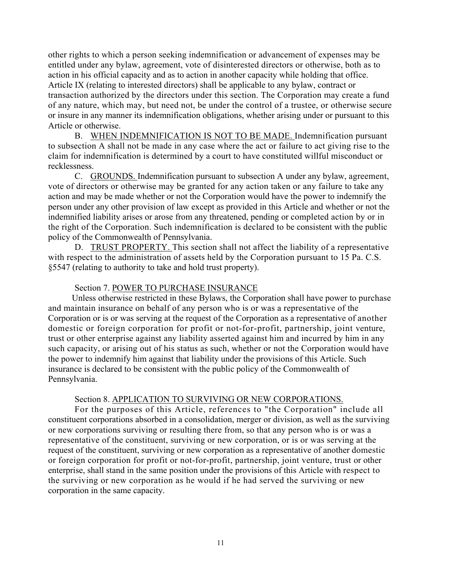other rights to which a person seeking indemnification or advancement of expenses may be entitled under any bylaw, agreement, vote of disinterested directors or otherwise, both as to action in his official capacity and as to action in another capacity while holding that office. Article IX (relating to interested directors) shall be applicable to any bylaw, contract or transaction authorized by the directors under this section. The Corporation may create a fund of any nature, which may, but need not, be under the control of a trustee, or otherwise secure or insure in any manner its indemnification obligations, whether arising under or pursuant to this Article or otherwise.

B. WHEN INDEMNIFICATION IS NOT TO BE MADE. Indemnification pursuant to subsection A shall not be made in any case where the act or failure to act giving rise to the claim for indemnification is determined by a court to have constituted willful misconduct or recklessness.

C. GROUNDS. Indemnification pursuant to subsection A under any bylaw, agreement, vote of directors or otherwise may be granted for any action taken or any failure to take any action and may be made whether or not the Corporation would have the power to indemnify the person under any other provision of law except as provided in this Article and whether or not the indemnified liability arises or arose from any threatened, pending or completed action by or in the right of the Corporation. Such indemnification is declared to be consistent with the public policy of the Commonwealth of Pennsylvania.

D. TRUST PROPERTY. This section shall not affect the liability of a representative with respect to the administration of assets held by the Corporation pursuant to 15 Pa. C.S. §5547 (relating to authority to take and hold trust property).

## Section 7. POWER TO PURCHASE INSURANCE

Unless otherwise restricted in these Bylaws, the Corporation shall have power to purchase and maintain insurance on behalf of any person who is or was a representative of the Corporation or is or was serving at the request of the Corporation as a representative of another domestic or foreign corporation for profit or not-for-profit, partnership, joint venture, trust or other enterprise against any liability asserted against him and incurred by him in any such capacity, or arising out of his status as such, whether or not the Corporation would have the power to indemnify him against that liability under the provisions of this Article. Such insurance is declared to be consistent with the public policy of the Commonwealth of Pennsylvania.

#### Section 8. APPLICATION TO SURVIVING OR NEW CORPORATIONS.

For the purposes of this Article, references to "the Corporation" include all constituent corporations absorbed in a consolidation, merger or division, as well as the surviving or new corporations surviving or resulting there from, so that any person who is or was a representative of the constituent, surviving or new corporation, or is or was serving at the request of the constituent, surviving or new corporation as a representative of another domestic or foreign corporation for profit or not-for-profit, partnership, joint venture, trust or other enterprise, shall stand in the same position under the provisions of this Article with respect to the surviving or new corporation as he would if he had served the surviving or new corporation in the same capacity.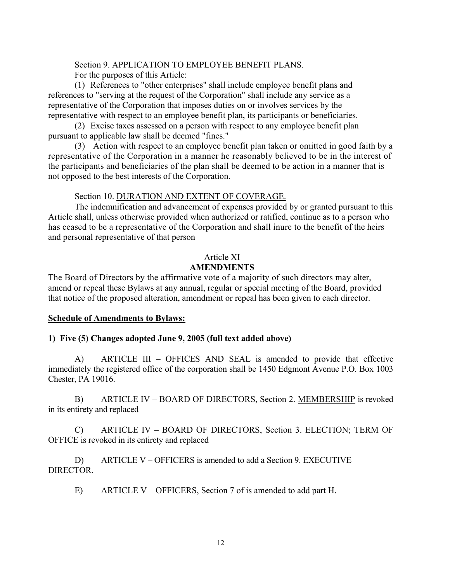Section 9. APPLICATION TO EMPLOYEE BENEFIT PLANS. For the purposes of this Article:

(1) References to "other enterprises" shall include employee benefit plans and references to "serving at the request of the Corporation" shall include any service as a representative of the Corporation that imposes duties on or involves services by the representative with respect to an employee benefit plan, its participants or beneficiaries.

(2) Excise taxes assessed on a person with respect to any employee benefit plan pursuant to applicable law shall be deemed "fines."

(3) Action with respect to an employee benefit plan taken or omitted in good faith by a representative of the Corporation in a manner he reasonably believed to be in the interest of the participants and beneficiaries of the plan shall be deemed to be action in a manner that is not opposed to the best interests of the Corporation.

Section 10. DURATION AND EXTENT OF COVERAGE.

The indemnification and advancement of expenses provided by or granted pursuant to this Article shall, unless otherwise provided when authorized or ratified, continue as to a person who has ceased to be a representative of the Corporation and shall inure to the benefit of the heirs and personal representative of that person

# Article XI

# **AMENDMENTS**

The Board of Directors by the affirmative vote of a majority of such directors may alter, amend or repeal these Bylaws at any annual, regular or special meeting of the Board, provided that notice of the proposed alteration, amendment or repeal has been given to each director.

## **Schedule of Amendments to Bylaws:**

## **1) Five (5) Changes adopted June 9, 2005 (full text added above)**

 A) ARTICLE III – OFFICES AND SEAL is amended to provide that effective immediately the registered office of the corporation shall be 1450 Edgmont Avenue P.O. Box 1003 Chester, PA 19016.

B) ARTICLE IV – BOARD OF DIRECTORS, Section 2. MEMBERSHIP is revoked in its entirety and replaced

 C) ARTICLE IV – BOARD OF DIRECTORS, Section 3. ELECTION; TERM OF OFFICE is revoked in its entirety and replaced

 D) ARTICLE V – OFFICERS is amended to add a Section 9. EXECUTIVE DIRECTOR.

E) ARTICLE V – OFFICERS, Section 7 of is amended to add part H.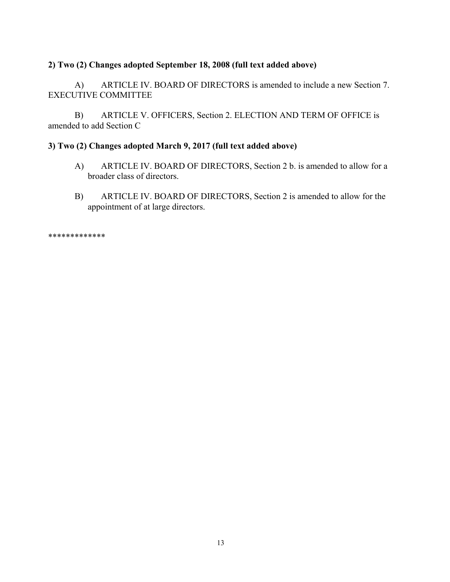# **2) Two (2) Changes adopted September 18, 2008 (full text added above)**

 A) ARTICLE IV. BOARD OF DIRECTORS is amended to include a new Section 7. EXECUTIVE COMMITTEE

 B) ARTICLE V. OFFICERS, Section 2. ELECTION AND TERM OF OFFICE is amended to add Section C

## **3) Two (2) Changes adopted March 9, 2017 (full text added above)**

- A) ARTICLE IV. BOARD OF DIRECTORS, Section 2 b. is amended to allow for a broader class of directors.
- B) ARTICLE IV. BOARD OF DIRECTORS, Section 2 is amended to allow for the appointment of at large directors.

\*\*\*\*\*\*\*\*\*\*\*\*\*